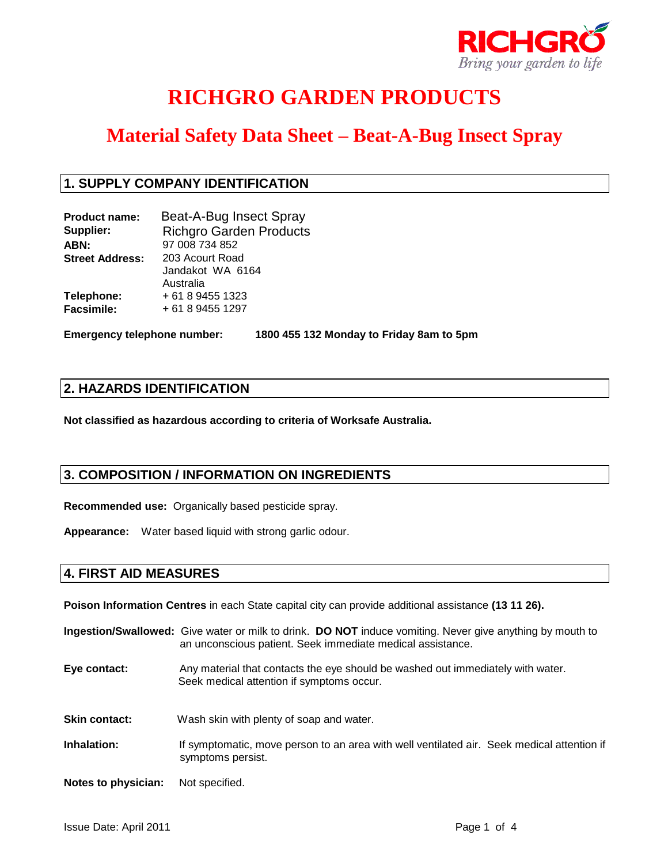

### **Material Safety Data Sheet – Beat-A-Bug Insect Spray**

### **1. SUPPLY COMPANY IDENTIFICATION**

| <b>Product name:</b>   | Beat-A-Bug Insect Spray        |
|------------------------|--------------------------------|
| Supplier:              | <b>Richgro Garden Products</b> |
| ABN:                   | 97 008 734 852                 |
| <b>Street Address:</b> | 203 Acourt Road                |
|                        | Jandakot WA 6164               |
|                        | Australia                      |
| Telephone:             | + 61 8 9455 1323               |
| <b>Facsimile:</b>      | + 61 8 9455 1297               |
|                        |                                |

**Emergency telephone number: 1800 455 132 Monday to Friday 8am to 5pm**

### **2. HAZARDS IDENTIFICATION**

**Not classified as hazardous according to criteria of Worksafe Australia.**

### **3. COMPOSITION / INFORMATION ON INGREDIENTS**

**Recommended use:** Organically based pesticide spray.

**Appearance:** Water based liquid with strong garlic odour.

### **4. FIRST AID MEASURES**

**Poison Information Centres** in each State capital city can provide additional assistance **(13 11 26).**

**Ingestion/Swallowed:** Give water or milk to drink. **DO NOT** induce vomiting. Never give anything by mouth to an unconscious patient. Seek immediate medical assistance.

- **Eye contact:** Any material that contacts the eye should be washed out immediately with water. Seek medical attention if symptoms occur.
- **Skin contact:** Wash skin with plenty of soap and water.
- **Inhalation:** If symptomatic, move person to an area with well ventilated air. Seek medical attention if symptoms persist.

**Notes to physician:** Not specified.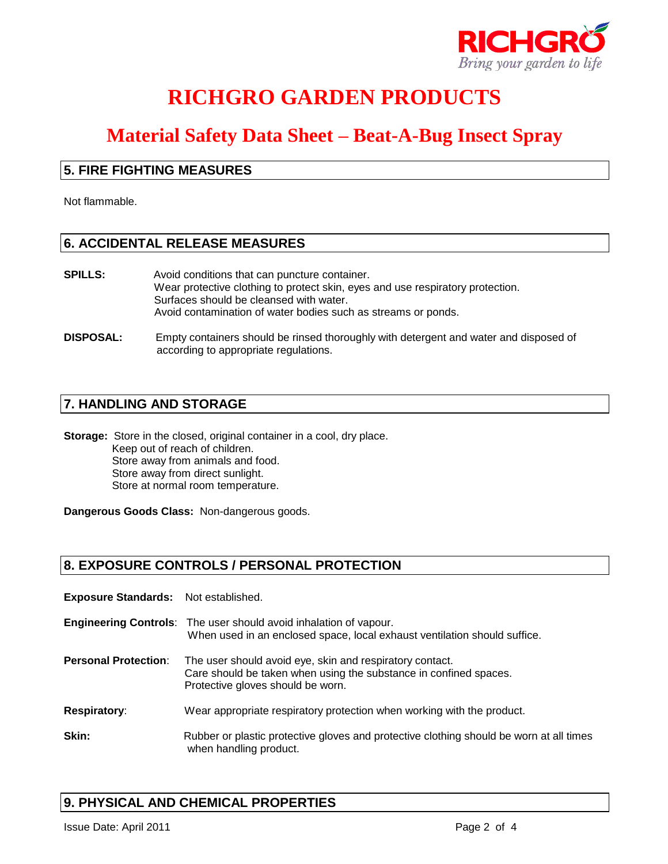

### **Material Safety Data Sheet – Beat-A-Bug Insect Spray**

### **5. FIRE FIGHTING MEASURES**

Not flammable.

### **6. ACCIDENTAL RELEASE MEASURES**

- **SPILLS:** Avoid conditions that can puncture container. Wear protective clothing to protect skin, eyes and use respiratory protection. Surfaces should be cleansed with water. Avoid contamination of water bodies such as streams or ponds.
- **DISPOSAL:** Empty containers should be rinsed thoroughly with detergent and water and disposed of according to appropriate regulations.

### **7. HANDLING AND STORAGE**

**Storage:** Store in the closed, original container in a cool, dry place. Keep out of reach of children. Store away from animals and food. Store away from direct sunlight. Store at normal room temperature.

**Dangerous Goods Class:** Non-dangerous goods.

### **8. EXPOSURE CONTROLS / PERSONAL PROTECTION**

**Exposure Standards:** Not established.

**Engineering Controls**: The user should avoid inhalation of vapour. When used in an enclosed space, local exhaust ventilation should suffice.

**Personal Protection**: The user should avoid eye, skin and respiratory contact. Care should be taken when using the substance in confined spaces. Protective gloves should be worn.

- **Respiratory:** Wear appropriate respiratory protection when working with the product.
- **Skin:** Rubber or plastic protective gloves and protective clothing should be worn at all times when handling product.

### **9. PHYSICAL AND CHEMICAL PROPERTIES**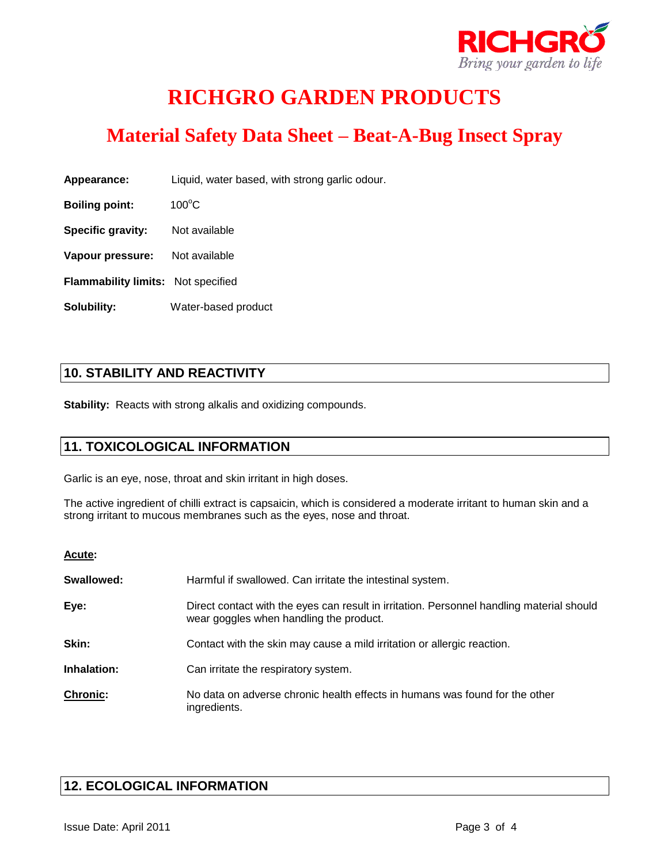

### **Material Safety Data Sheet – Beat-A-Bug Insect Spray**

**Appearance:** Liquid, water based, with strong garlic odour.

**Boiling point:** 100°C

**Specific gravity:** Not available

**Vapour pressure:** Not available

**Flammability limits:** Not specified

**Solubility:** Water-based product

### **10. STABILITY AND REACTIVITY**

**Stability:** Reacts with strong alkalis and oxidizing compounds.

### **11. TOXICOLOGICAL INFORMATION**

Garlic is an eye, nose, throat and skin irritant in high doses.

The active ingredient of chilli extract is capsaicin, which is considered a moderate irritant to human skin and a strong irritant to mucous membranes such as the eyes, nose and throat.

#### **Acute:**

| Swallowed:      | Harmful if swallowed. Can irritate the intestinal system.                                                                            |
|-----------------|--------------------------------------------------------------------------------------------------------------------------------------|
| Eye:            | Direct contact with the eyes can result in irritation. Personnel handling material should<br>wear goggles when handling the product. |
| Skin:           | Contact with the skin may cause a mild irritation or allergic reaction.                                                              |
| Inhalation:     | Can irritate the respiratory system.                                                                                                 |
| <b>Chronic:</b> | No data on adverse chronic health effects in humans was found for the other<br>ingredients.                                          |

### **12. ECOLOGICAL INFORMATION**